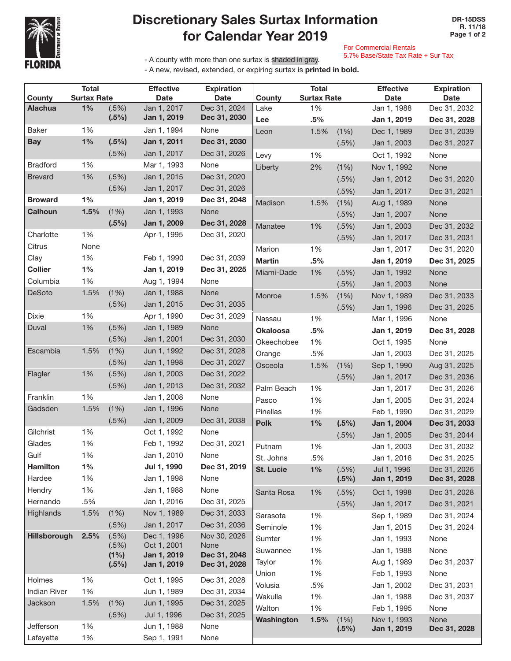

## Discretionary Sales Surtax Information for Calendar Year 2019

For Commercial Rentals

5.7% Base/State Tax Rate + Sur Tax

- A county with more than one surtax is shaded in gray.

- A new, revised, extended, or expiring surtax is printed in bold.

|                     | <b>Total</b>       |                  | <b>Effective</b>           | <b>Expiration</b>            | <b>Total</b>     |                    | <b>Effective</b> | <b>Expiration</b> |              |
|---------------------|--------------------|------------------|----------------------------|------------------------------|------------------|--------------------|------------------|-------------------|--------------|
| County              | <b>Surtax Rate</b> |                  | <b>Date</b>                | <b>Date</b>                  | County           | <b>Surtax Rate</b> |                  | <b>Date</b>       | <b>Date</b>  |
| <b>Alachua</b>      | $1\%$              | (.5%)<br>(.5%)   | Jan 1, 2017<br>Jan 1, 2019 | Dec 31, 2024<br>Dec 31, 2030 | Lake             | 1%                 |                  | Jan 1, 1988       | Dec 31, 2032 |
|                     |                    |                  |                            |                              | Lee              | .5%                |                  | Jan 1, 2019       | Dec 31, 2028 |
| <b>Baker</b>        | 1%                 |                  | Jan 1, 1994                | None                         | Leon             | 1.5%               | (1%)             | Dec 1, 1989       | Dec 31, 2039 |
| <b>Bay</b>          | $1\%$              | $(.5\%)$         | Jan 1, 2011                | Dec 31, 2030                 |                  |                    | (.5%)            | Jan 1, 2003       | Dec 31, 2027 |
|                     |                    | (.5%)            | Jan 1, 2017                | Dec 31, 2026                 | Levy             | 1%                 |                  | Oct 1, 1992       | None         |
| <b>Bradford</b>     | 1%                 |                  | Mar 1, 1993                | None                         | Liberty          | 2%                 | (1%)             | Nov 1, 1992       | None         |
| <b>Brevard</b>      | 1%                 | (.5%)            | Jan 1, 2015                | Dec 31, 2020                 |                  |                    | (.5%)            | Jan 1, 2012       | Dec 31, 2020 |
|                     |                    | (.5%)            | Jan 1, 2017                | Dec 31, 2026                 |                  |                    | (.5%)            | Jan 1, 2017       | Dec 31, 2021 |
| <b>Broward</b>      | 1%                 |                  | Jan 1, 2019                | Dec 31, 2048                 | Madison          | 1.5%               | (1%)             | Aug 1, 1989       | None         |
| <b>Calhoun</b>      | 1.5%               | (1%)             | Jan 1, 1993                | None                         |                  |                    | (.5%)            | Jan 1, 2007       | None         |
|                     |                    | (.5%)            | Jan 1, 2009                | Dec 31, 2028                 | Manatee          | 1%                 | (.5%)            | Jan 1, 2003       | Dec 31, 2032 |
| Charlotte           | 1%                 |                  | Apr 1, 1995                | Dec 31, 2020                 |                  |                    | (.5%)            | Jan 1, 2017       | Dec 31, 2031 |
| Citrus              | None               |                  |                            |                              | Marion           | 1%                 |                  | Jan 1, 2017       | Dec 31, 2020 |
| Clay                | 1%                 |                  | Feb 1, 1990                | Dec 31, 2039                 | <b>Martin</b>    | .5%                |                  | Jan 1, 2019       | Dec 31, 2025 |
| <b>Collier</b>      | $1\%$              |                  | Jan 1, 2019                | Dec 31, 2025                 | Miami-Dade       | 1%                 | (.5%)            | Jan 1, 1992       | None         |
| Columbia            | 1%                 |                  | Aug 1, 1994                | None                         |                  |                    | $(.5\%)$         | Jan 1, 2003       | None         |
| DeSoto              | 1.5%               | $(1\%)$          | Jan 1, 1988                | None                         | Monroe           | 1.5%               | (1%)             | Nov 1, 1989       | Dec 31, 2033 |
|                     |                    | (.5%)            | Jan 1, 2015                | Dec 31, 2035                 |                  |                    | (.5%)            | Jan 1, 1996       | Dec 31, 2025 |
| Dixie               | 1%                 |                  | Apr 1, 1990                | Dec 31, 2029                 | Nassau           | 1%                 |                  | Mar 1, 1996       | None         |
| Duval               | 1%                 | (.5%)            | Jan 1, 1989                | None                         | <b>Okaloosa</b>  | .5%                |                  | Jan 1, 2019       | Dec 31, 2028 |
|                     |                    | (.5%)            | Jan 1, 2001                | Dec 31, 2030                 | Okeechobee       | 1%                 |                  | Oct 1, 1995       | None         |
| Escambia            | 1.5%               | (1%)             | Jun 1, 1992                | Dec 31, 2028                 | Orange           | .5%                |                  | Jan 1, 2003       | Dec 31, 2025 |
|                     |                    | (.5%)            | Jan 1, 1998                | Dec 31, 2027                 | Osceola          | 1.5%               | (1%)             | Sep 1, 1990       | Aug 31, 2025 |
| Flagler             | 1%                 | (.5%)            | Jan 1, 2003                | Dec 31, 2022                 |                  |                    | (.5%)            | Jan 1, 2017       | Dec 31, 2036 |
|                     |                    | (.5%)            | Jan 1, 2013                | Dec 31, 2032                 | Palm Beach       | 1%                 |                  | Jan 1, 2017       | Dec 31, 2026 |
| Franklin            | 1%                 |                  | Jan 1, 2008                | None                         | Pasco            | 1%                 |                  | Jan 1, 2005       | Dec 31, 2024 |
| Gadsden             | 1.5%               | $(1\%)$          | Jan 1, 1996                | None                         | Pinellas         | 1%                 |                  | Feb 1, 1990       | Dec 31, 2029 |
|                     |                    | (.5%)            | Jan 1, 2009                | Dec 31, 2038                 | <b>Polk</b>      | 1%                 | (.5%)            | Jan 1, 2004       | Dec 31, 2033 |
| Gilchrist           | 1%                 |                  | Oct 1, 1992                | None                         |                  |                    | (.5%)            | Jan 1, 2005       | Dec 31, 2044 |
| Glades              | 1%                 |                  | Feb 1, 1992                | Dec 31, 2021                 | Putnam           | 1%                 |                  | Jan 1, 2003       | Dec 31, 2032 |
| Gulf                | 1%                 |                  | Jan 1, 2010                | None                         | St. Johns        | .5%                |                  | Jan 1, 2016       | Dec 31, 2025 |
| <b>Hamilton</b>     | $1\%$              |                  | Jul 1, 1990                | Dec 31, 2019                 | <b>St. Lucie</b> | 1%                 | (.5%)            | Jul 1, 1996       | Dec 31, 2026 |
| Hardee              | 1%                 |                  | Jan 1, 1998                | None                         |                  |                    | (.5%)            | Jan 1, 2019       | Dec 31, 2028 |
| Hendry              | 1%                 |                  | Jan 1, 1988                | None                         | Santa Rosa       | 1%                 | (.5%)            | Oct 1, 1998       | Dec 31, 2028 |
| Hernando            | .5%                |                  | Jan 1, 2016                | Dec 31, 2025                 |                  |                    | (.5%)            | Jan 1, 2017       | Dec 31, 2021 |
| Highlands           | 1.5%               | (1%)             | Nov 1, 1989                | Dec 31, 2033                 | Sarasota         | 1%                 |                  | Sep 1, 1989       | Dec 31, 2024 |
|                     |                    | (.5%)            | Jan 1, 2017                | Dec 31, 2036                 | Seminole         | 1%                 |                  | Jan 1, 2015       | Dec 31, 2024 |
| Hillsborough        | 2.5%               | (.5%)            | Dec 1, 1996                | Nov 30, 2026                 | Sumter           | 1%                 |                  | Jan 1, 1993       | None         |
|                     |                    | (.5%)<br>$(1\%)$ | Oct 1, 2001<br>Jan 1, 2019 | None<br>Dec 31, 2048         | Suwannee         | 1%                 |                  | Jan 1, 1988       | None         |
|                     |                    | (.5%)            | Jan 1, 2019                | Dec 31, 2028                 | Taylor           | 1%                 |                  | Aug 1, 1989       | Dec 31, 2037 |
|                     |                    |                  |                            |                              | Union            | 1%                 |                  | Feb 1, 1993       | None         |
| Holmes              | 1%                 |                  | Oct 1, 1995                | Dec 31, 2028                 | Volusia          | .5%                |                  | Jan 1, 2002       | Dec 31, 2031 |
| <b>Indian River</b> | 1%                 |                  | Jun 1, 1989                | Dec 31, 2034                 | Wakulla          | 1%                 |                  | Jan 1, 1988       | Dec 31, 2037 |
| Jackson             | 1.5%               | (1%)             | Jun 1, 1995                | Dec 31, 2025                 | Walton           | 1%                 |                  | Feb 1, 1995       | None         |
|                     |                    | (.5%)            | Jul 1, 1996                | Dec 31, 2025                 | Washington       | 1.5%               | (1%)             | Nov 1, 1993       | None         |
| Jefferson           | 1%                 |                  | Jun 1, 1988                | None                         |                  |                    | (.5%)            | Jan 1, 2019       | Dec 31, 2028 |
| Lafayette           | 1%                 |                  | Sep 1, 1991                | None                         |                  |                    |                  |                   |              |